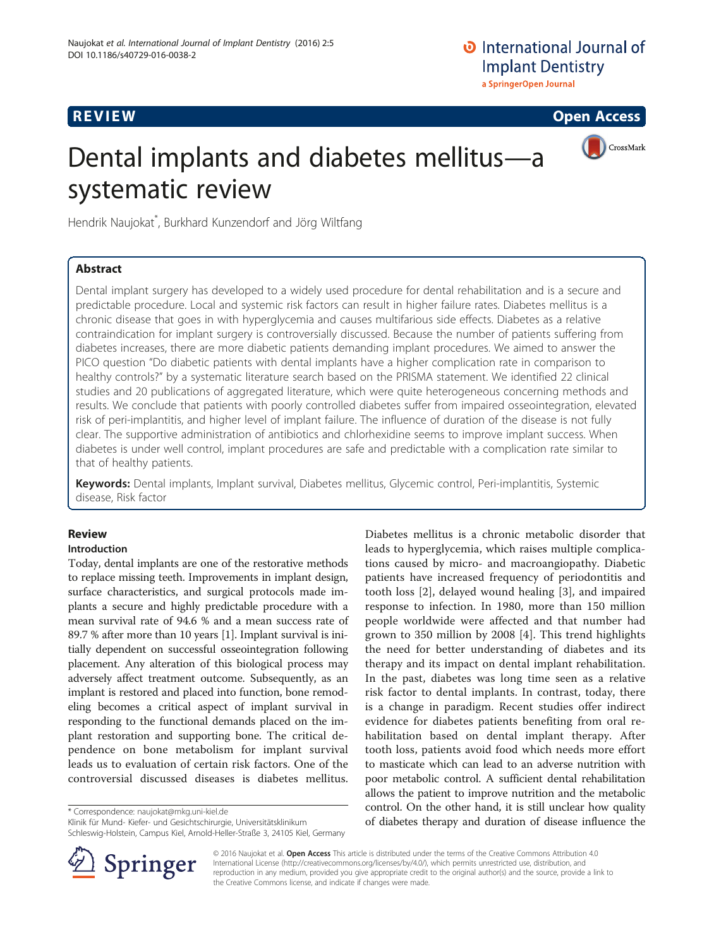<u>R Evid[en](http://crossmark.crossref.org/dialog/?doi=10.1186/s40729-016-0038-2&domain=pdf)ce and the Case of the Case of the Case of the Case of the Case of the Case of the Case of the Case of </u>

CrossMark

# Dental implants and diabetes mellitus—a systematic review

Hendrik Naujokat\* , Burkhard Kunzendorf and Jörg Wiltfang

# **Abstract**

Dental implant surgery has developed to a widely used procedure for dental rehabilitation and is a secure and predictable procedure. Local and systemic risk factors can result in higher failure rates. Diabetes mellitus is a chronic disease that goes in with hyperglycemia and causes multifarious side effects. Diabetes as a relative contraindication for implant surgery is controversially discussed. Because the number of patients suffering from diabetes increases, there are more diabetic patients demanding implant procedures. We aimed to answer the PICO question "Do diabetic patients with dental implants have a higher complication rate in comparison to healthy controls?" by a systematic literature search based on the PRISMA statement. We identified 22 clinical studies and 20 publications of aggregated literature, which were quite heterogeneous concerning methods and results. We conclude that patients with poorly controlled diabetes suffer from impaired osseointegration, elevated risk of peri-implantitis, and higher level of implant failure. The influence of duration of the disease is not fully clear. The supportive administration of antibiotics and chlorhexidine seems to improve implant success. When diabetes is under well control, implant procedures are safe and predictable with a complication rate similar to that of healthy patients.

Keywords: Dental implants, Implant survival, Diabetes mellitus, Glycemic control, Peri-implantitis, Systemic disease, Risk factor

# **Review**

# .......<br>Introduction

Today, dental implants are one of the restorative methods to replace missing teeth. Improvements in implant design, surface characteristics, and surgical protocols made implants a secure and highly predictable procedure with a mean survival rate of 94.6 % and a mean success rate of 89.7 % after more than 10 years [[1\]](#page-8-0). Implant survival is initially dependent on successful osseointegration following placement. Any alteration of this biological process may adversely affect treatment outcome. Subsequently, as an implant is restored and placed into function, bone remodeling becomes a critical aspect of implant survival in responding to the functional demands placed on the implant restoration and supporting bone. The critical dependence on bone metabolism for implant survival leads us to evaluation of certain risk factors. One of the controversial discussed diseases is diabetes mellitus.

\* Correspondence: [naujokat@mkg.uni-kiel.de](mailto:naujokat@mkg.uni-kiel.de)

Klinik für Mund- Kiefer- und Gesichtschirurgie, Universitätsklinikum

Schleswig-Holstein, Campus Kiel, Arnold-Heller-Straße 3, 24105 Kiel, Germany

Diabetes mellitus is a chronic metabolic disorder that leads to hyperglycemia, which raises multiple complications caused by micro- and macroangiopathy. Diabetic patients have increased frequency of periodontitis and tooth loss [[2\]](#page-8-0), delayed wound healing [\[3](#page-8-0)], and impaired response to infection. In 1980, more than 150 million people worldwide were affected and that number had grown to 350 million by 2008 [[4\]](#page-8-0). This trend highlights the need for better understanding of diabetes and its therapy and its impact on dental implant rehabilitation. In the past, diabetes was long time seen as a relative risk factor to dental implants. In contrast, today, there is a change in paradigm. Recent studies offer indirect evidence for diabetes patients benefiting from oral rehabilitation based on dental implant therapy. After tooth loss, patients avoid food which needs more effort to masticate which can lead to an adverse nutrition with poor metabolic control. A sufficient dental rehabilitation allows the patient to improve nutrition and the metabolic control. On the other hand, it is still unclear how quality of diabetes therapy and duration of disease influence the



© 2016 Naujokat et al. Open Access This article is distributed under the terms of the Creative Commons Attribution 4.0 International License ([http://creativecommons.org/licenses/by/4.0/\)](http://creativecommons.org/licenses/by/4.0/), which permits unrestricted use, distribution, and reproduction in any medium, provided you give appropriate credit to the original author(s) and the source, provide a link to the Creative Commons license, and indicate if changes were made.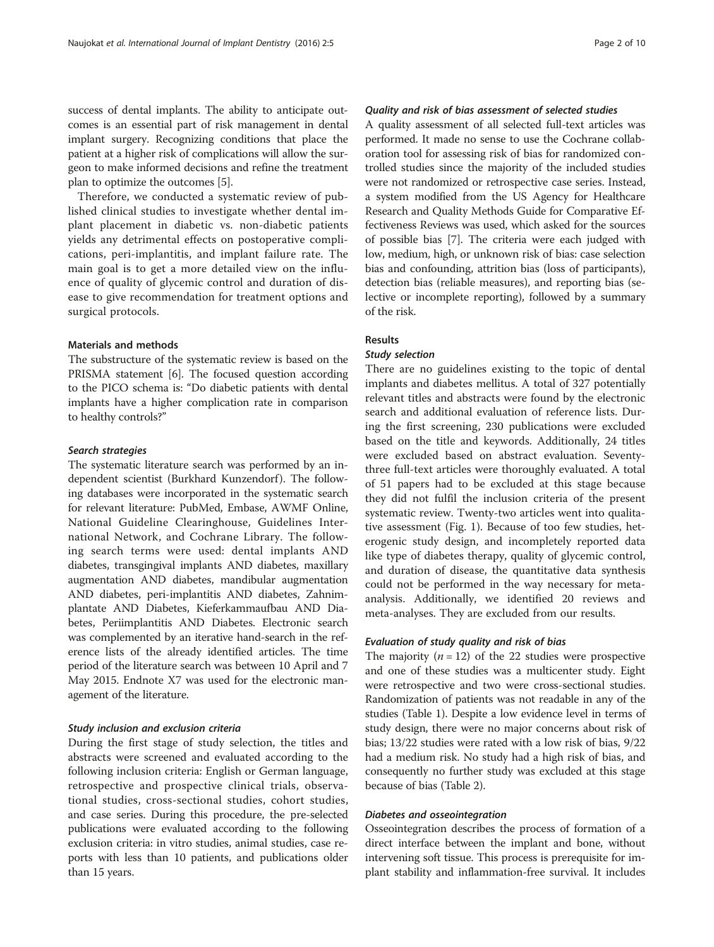success of dental implants. The ability to anticipate outcomes is an essential part of risk management in dental implant surgery. Recognizing conditions that place the patient at a higher risk of complications will allow the surgeon to make informed decisions and refine the treatment plan to optimize the outcomes [\[5](#page-8-0)].

Therefore, we conducted a systematic review of published clinical studies to investigate whether dental implant placement in diabetic vs. non-diabetic patients yields any detrimental effects on postoperative complications, peri-implantitis, and implant failure rate. The main goal is to get a more detailed view on the influence of quality of glycemic control and duration of disease to give recommendation for treatment options and surgical protocols.

# Materials and methods

The substructure of the systematic review is based on the PRISMA statement [\[6](#page-8-0)]. The focused question according to the PICO schema is: "Do diabetic patients with dental implants have a higher complication rate in comparison to healthy controls?"

## Search strategies

The systematic literature search was performed by an independent scientist (Burkhard Kunzendorf). The following databases were incorporated in the systematic search for relevant literature: PubMed, Embase, AWMF Online, National Guideline Clearinghouse, Guidelines International Network, and Cochrane Library. The following search terms were used: dental implants AND diabetes, transgingival implants AND diabetes, maxillary augmentation AND diabetes, mandibular augmentation AND diabetes, peri-implantitis AND diabetes, Zahnimplantate AND Diabetes, Kieferkammaufbau AND Diabetes, Periimplantitis AND Diabetes. Electronic search was complemented by an iterative hand-search in the reference lists of the already identified articles. The time period of the literature search was between 10 April and 7 May 2015. Endnote X7 was used for the electronic management of the literature.

# Study inclusion and exclusion criteria

During the first stage of study selection, the titles and abstracts were screened and evaluated according to the following inclusion criteria: English or German language, retrospective and prospective clinical trials, observational studies, cross-sectional studies, cohort studies, and case series. During this procedure, the pre-selected publications were evaluated according to the following exclusion criteria: in vitro studies, animal studies, case reports with less than 10 patients, and publications older than 15 years.

# Quality and risk of bias assessment of selected studies

A quality assessment of all selected full-text articles was performed. It made no sense to use the Cochrane collaboration tool for assessing risk of bias for randomized controlled studies since the majority of the included studies were not randomized or retrospective case series. Instead, a system modified from the US Agency for Healthcare Research and Quality Methods Guide for Comparative Effectiveness Reviews was used, which asked for the sources of possible bias [\[7](#page-8-0)]. The criteria were each judged with low, medium, high, or unknown risk of bias: case selection bias and confounding, attrition bias (loss of participants), detection bias (reliable measures), and reporting bias (selective or incomplete reporting), followed by a summary of the risk.

# Results

# Study selection

There are no guidelines existing to the topic of dental implants and diabetes mellitus. A total of 327 potentially relevant titles and abstracts were found by the electronic search and additional evaluation of reference lists. During the first screening, 230 publications were excluded based on the title and keywords. Additionally, 24 titles were excluded based on abstract evaluation. Seventythree full-text articles were thoroughly evaluated. A total of 51 papers had to be excluded at this stage because they did not fulfil the inclusion criteria of the present systematic review. Twenty-two articles went into qualitative assessment (Fig. [1\)](#page-2-0). Because of too few studies, heterogenic study design, and incompletely reported data like type of diabetes therapy, quality of glycemic control, and duration of disease, the quantitative data synthesis could not be performed in the way necessary for metaanalysis. Additionally, we identified 20 reviews and meta-analyses. They are excluded from our results.

# Evaluation of study quality and risk of bias

The majority  $(n = 12)$  of the 22 studies were prospective and one of these studies was a multicenter study. Eight were retrospective and two were cross-sectional studies. Randomization of patients was not readable in any of the studies (Table [1](#page-3-0)). Despite a low evidence level in terms of study design, there were no major concerns about risk of bias; 13/22 studies were rated with a low risk of bias, 9/22 had a medium risk. No study had a high risk of bias, and consequently no further study was excluded at this stage because of bias (Table [2\)](#page-6-0).

# Diabetes and osseointegration

Osseointegration describes the process of formation of a direct interface between the implant and bone, without intervening soft tissue. This process is prerequisite for implant stability and inflammation-free survival. It includes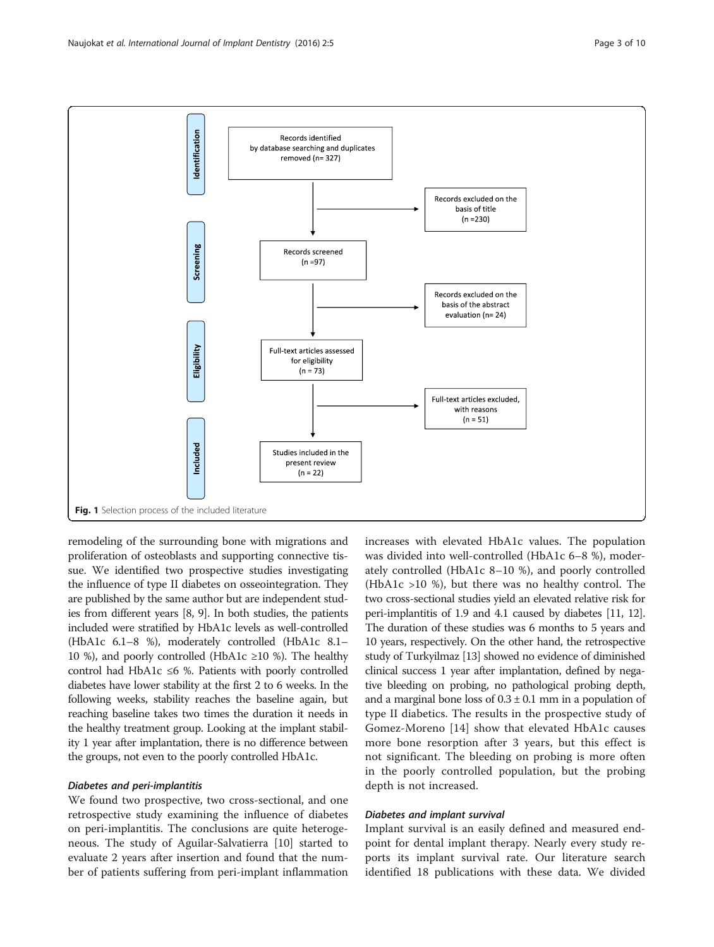Identification

<span id="page-2-0"></span>



remodeling of the surrounding bone with migrations and proliferation of osteoblasts and supporting connective tissue. We identified two prospective studies investigating the influence of type II diabetes on osseointegration. They are published by the same author but are independent studies from different years [\[8, 9\]](#page-8-0). In both studies, the patients included were stratified by HbA1c levels as well-controlled (HbA1c 6.1–8 %), moderately controlled (HbA1c 8.1– 10 %), and poorly controlled (HbA1c  $\geq$ 10 %). The healthy control had HbA1c ≤6 %. Patients with poorly controlled diabetes have lower stability at the first 2 to 6 weeks. In the following weeks, stability reaches the baseline again, but reaching baseline takes two times the duration it needs in the healthy treatment group. Looking at the implant stability 1 year after implantation, there is no difference between the groups, not even to the poorly controlled HbA1c.

# Diabetes and peri-implantitis

We found two prospective, two cross-sectional, and one retrospective study examining the influence of diabetes on peri-implantitis. The conclusions are quite heterogeneous. The study of Aguilar-Salvatierra [[10\]](#page-8-0) started to evaluate 2 years after insertion and found that the number of patients suffering from peri-implant inflammation increases with elevated HbA1c values. The population was divided into well-controlled (HbA1c 6–8 %), moderately controlled (HbA1c 8–10 %), and poorly controlled (HbA1c >10 %), but there was no healthy control. The two cross-sectional studies yield an elevated relative risk for peri-implantitis of 1.9 and 4.1 caused by diabetes [\[11](#page-8-0), [12](#page-8-0)]. The duration of these studies was 6 months to 5 years and 10 years, respectively. On the other hand, the retrospective study of Turkyilmaz [[13](#page-8-0)] showed no evidence of diminished clinical success 1 year after implantation, defined by negative bleeding on probing, no pathological probing depth, and a marginal bone loss of  $0.3 \pm 0.1$  mm in a population of type II diabetics. The results in the prospective study of Gomez-Moreno [[14\]](#page-8-0) show that elevated HbA1c causes more bone resorption after 3 years, but this effect is not significant. The bleeding on probing is more often in the poorly controlled population, but the probing depth is not increased.

# Diabetes and implant survival

Implant survival is an easily defined and measured endpoint for dental implant therapy. Nearly every study reports its implant survival rate. Our literature search identified 18 publications with these data. We divided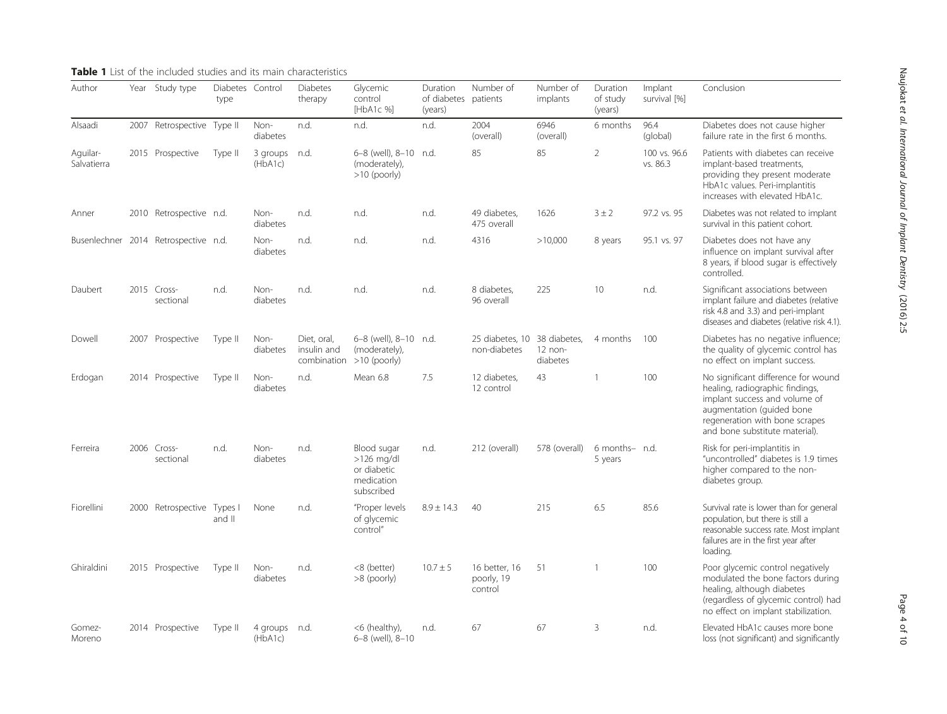| Author                  | Year | Study type                           | Diabetes Control<br>type |                          | Diabetes<br>therapy                       | Glycemic<br>control<br>[HbA1c %]                                       | Duration<br>of diabetes patients<br>(years) | Number of                                    | Number of<br>implants | Duration<br>of study<br>(years) | Implant<br>survival [%]  | Conclusion                                                                                                                                                                                               |
|-------------------------|------|--------------------------------------|--------------------------|--------------------------|-------------------------------------------|------------------------------------------------------------------------|---------------------------------------------|----------------------------------------------|-----------------------|---------------------------------|--------------------------|----------------------------------------------------------------------------------------------------------------------------------------------------------------------------------------------------------|
| Alsaadi                 | 2007 | Retrospective Type II                |                          | Non-<br>diabetes         | n.d.                                      | n.d.                                                                   | n.d.                                        | 2004<br>(overall)                            | 6946<br>(overall)     | 6 months                        | 96.4<br>(global)         | Diabetes does not cause higher<br>failure rate in the first 6 months.                                                                                                                                    |
| Aquilar-<br>Salvatierra |      | 2015 Prospective                     | Type II                  | 3 groups n.d.<br>(HbA1c) |                                           | 6-8 (well), 8-10 n.d.<br>(moderately),<br>$>10$ (poorly)               |                                             | 85                                           | 85                    | $\overline{2}$                  | 100 vs. 96.6<br>vs. 86.3 | Patients with diabetes can receive<br>implant-based treatments,<br>providing they present moderate<br>HbA1c values. Peri-implantitis<br>increases with elevated HbA1c.                                   |
| Anner                   |      | 2010 Retrospective n.d.              |                          | Non-<br>diabetes         | n.d.                                      | n.d.                                                                   | n.d.                                        | 49 diabetes,<br>475 overall                  | 1626                  | $3 \pm 2$                       | 97.2 vs. 95              | Diabetes was not related to implant<br>survival in this patient cohort.                                                                                                                                  |
|                         |      | Busenlechner 2014 Retrospective n.d. |                          | Non-<br>diabetes         | n.d.                                      | n.d.                                                                   | n.d.                                        | 4316                                         | >10,000               | 8 years                         | 95.1 vs. 97              | Diabetes does not have any<br>influence on implant survival after<br>8 years, if blood sugar is effectively<br>controlled.                                                                               |
| Daubert                 |      | 2015 Cross-<br>sectional             | n.d.                     | Non-<br>diabetes         | n.d.                                      | n.d.                                                                   | n.d.                                        | 8 diabetes,<br>96 overall                    | 225                   | 10                              | n.d.                     | Significant associations between<br>implant failure and diabetes (relative<br>risk 4.8 and 3.3) and peri-implant<br>diseases and diabetes (relative risk 4.1).                                           |
| Dowell                  |      | 2007 Prospective                     | Type II                  | Non-<br>diabetes         | Diet, oral,<br>insulin and<br>combination | 6-8 (well), 8-10 n.d.<br>(moderately),<br>$>10$ (poorly)               |                                             | 25 diabetes, 10 38 diabetes,<br>non-diabetes | $12$ non-<br>diabetes | 4 months                        | 100                      | Diabetes has no negative influence;<br>the quality of glycemic control has<br>no effect on implant success.                                                                                              |
| Erdogan                 |      | 2014 Prospective                     | Type II                  | Non-<br>diabetes         | n.d.                                      | Mean 6.8                                                               | 7.5                                         | 12 diabetes,<br>12 control                   | 43                    | $\overline{1}$                  | 100                      | No significant difference for wound<br>healing, radiographic findings,<br>implant success and volume of<br>augmentation (guided bone<br>regeneration with bone scrapes<br>and bone substitute material). |
| Ferreira                |      | 2006 Cross-<br>sectional             | n.d.                     | Non-<br>diabetes         | n.d.                                      | Blood sugar<br>$>126$ mg/dl<br>or diabetic<br>medication<br>subscribed | n.d.                                        | 212 (overall)                                | 578 (overall)         | 6 months- n.d.<br>5 years       |                          | Risk for peri-implantitis in<br>"uncontrolled" diabetes is 1.9 times<br>higher compared to the non-<br>diabetes group.                                                                                   |
| Fiorellini              |      | 2000 Retrospective Types I           | and II                   | None                     | n.d.                                      | "Proper levels<br>of glycemic<br>control"                              | $8.9 \pm 14.3$                              | 40                                           | 215                   | 6.5                             | 85.6                     | Survival rate is lower than for general<br>population, but there is still a<br>reasonable success rate. Most implant<br>failures are in the first year after<br>loading.                                 |
| Ghiraldini              |      | 2015 Prospective                     | Type II                  | Non-<br>diabetes         | n.d.                                      | <8 (better)<br>$>8$ (poorly)                                           | $10.7 \pm 5$                                | 16 better, 16<br>poorly, 19<br>control       | 51                    | $\overline{1}$                  | 100                      | Poor glycemic control negatively<br>modulated the bone factors during<br>healing, although diabetes<br>(regardless of glycemic control) had<br>no effect on implant stabilization.                       |
| Gomez-<br>Moreno        |      | 2014 Prospective                     | Type II                  | 4 groups n.d.<br>(HbA1c) |                                           | <6 (healthy),<br>6-8 (well), 8-10                                      | n.d.                                        | 67                                           | 67                    | 3                               | n.d.                     | Elevated HbA1c causes more bone<br>loss (not significant) and significantly                                                                                                                              |

# <span id="page-3-0"></span>Table 1 List of the included studies and its main characteristics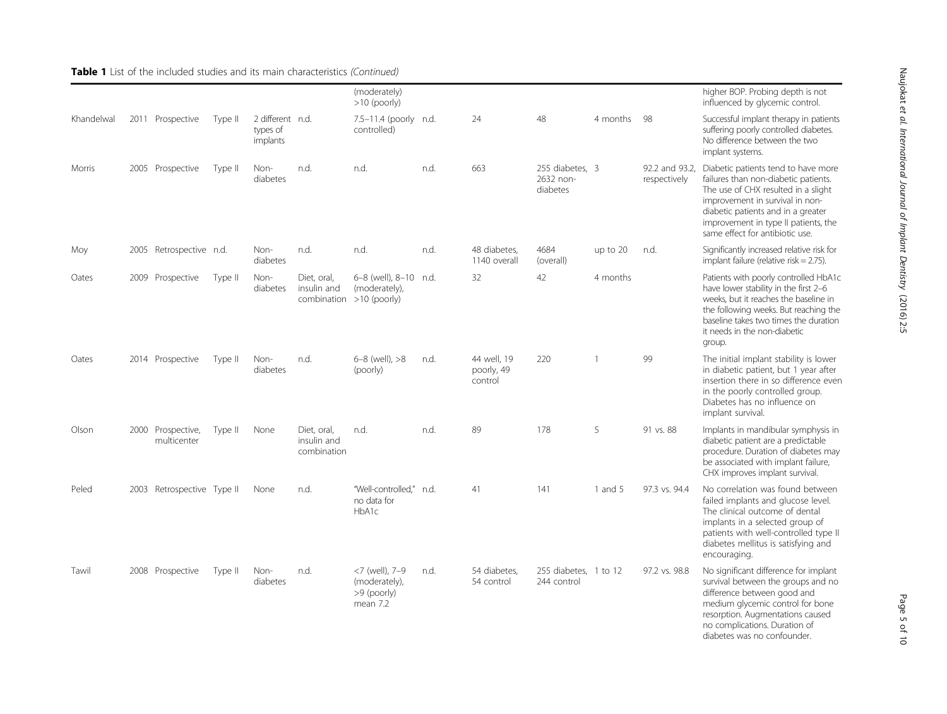|  |  |  |  | <b>Table 1</b> List of the included studies and its main characteristics (Continued) |  |
|--|--|--|--|--------------------------------------------------------------------------------------|--|
|  |  |  |  |                                                                                      |  |

|            |                                  |         |                                          |                                           | (moderately)<br>$>10$ (poorly)                                     |      |                                      |                                          |                |                                | higher BOP. Probing depth is not<br>influenced by glycemic control.                                                                                                                                                                                                    |
|------------|----------------------------------|---------|------------------------------------------|-------------------------------------------|--------------------------------------------------------------------|------|--------------------------------------|------------------------------------------|----------------|--------------------------------|------------------------------------------------------------------------------------------------------------------------------------------------------------------------------------------------------------------------------------------------------------------------|
| Khandelwal | 2011 Prospective                 | Type II | 2 different n.d.<br>types of<br>implants |                                           | 7.5-11.4 (poorly n.d.<br>controlled)                               |      | 24                                   | 48                                       | 4 months       | 98                             | Successful implant therapy in patients<br>suffering poorly controlled diabetes.<br>No difference between the two<br>implant systems.                                                                                                                                   |
| Morris     | 2005 Prospective                 | Type II | Non-<br>diabetes                         | n.d.                                      | n.d.                                                               | n.d. | 663                                  | 255 diabetes, 3<br>2632 non-<br>diabetes |                | 92.2 and 93.2,<br>respectively | Diabetic patients tend to have more<br>failures than non-diabetic patients.<br>The use of CHX resulted in a slight<br>improvement in survival in non-<br>diabetic patients and in a greater<br>improvement in type II patients, the<br>same effect for antibiotic use. |
| Moy        | 2005 Retrospective n.d.          |         | Non-<br>diabetes                         | n.d.                                      | n.d.                                                               | n.d. | 48 diabetes,<br>1140 overall         | 4684<br>(overall)                        | up to 20       | n.d.                           | Significantly increased relative risk for<br>implant failure (relative risk $= 2.75$ ).                                                                                                                                                                                |
| Oates      | 2009 Prospective                 | Type II | Non-<br>diabetes                         | Diet. oral.<br>insulin and                | 6-8 (well), 8-10 n.d.<br>(moderately),<br>combination >10 (poorly) |      | 32                                   | 42                                       | 4 months       |                                | Patients with poorly controlled HbA1c<br>have lower stability in the first 2-6<br>weeks, but it reaches the baseline in<br>the following weeks. But reaching the<br>baseline takes two times the duration<br>it needs in the non-diabetic<br>group.                    |
| Oates      | 2014 Prospective                 | Type II | Non-<br>diabetes                         | n.d.                                      | $6 - 8$ (well), $> 8$<br>(poorly)                                  | n.d. | 44 well, 19<br>poorly, 49<br>control | 220                                      | $\overline{1}$ | 99                             | The initial implant stability is lower<br>in diabetic patient, but 1 year after<br>insertion there in so difference even<br>in the poorly controlled group.<br>Diabetes has no influence on<br>implant survival.                                                       |
| Olson      | 2000 Prospective,<br>multicenter | Type II | None                                     | Diet, oral,<br>insulin and<br>combination | n.d.                                                               | n.d. | 89                                   | 178                                      | 5              | 91 vs. 88                      | Implants in mandibular symphysis in<br>diabetic patient are a predictable<br>procedure. Duration of diabetes may<br>be associated with implant failure,<br>CHX improves implant survival.                                                                              |
| Peled      | 2003 Retrospective Type II       |         | None                                     | n.d.                                      | "Well-controlled," n.d.<br>no data for<br>HbA <sub>1</sub> c       |      | 41                                   | 141                                      | 1 and 5        | 97.3 vs. 94.4                  | No correlation was found between<br>failed implants and glucose level.<br>The clinical outcome of dental<br>implants in a selected group of<br>patients with well-controlled type II<br>diabetes mellitus is satisfying and<br>encouraging.                            |
| Tawil      | 2008 Prospective                 | Type II | Non-<br>diabetes                         | n.d.                                      | <7 (well), 7-9<br>(moderately),<br>>9 (poorly)<br>mean 7.2         | n.d. | 54 diabetes.<br>54 control           | 255 diabetes, 1 to 12<br>244 control     |                | 97.2 vs. 98.8                  | No significant difference for implant<br>survival between the groups and no<br>difference between good and<br>medium glycemic control for bone<br>resorption. Augmentations caused<br>no complications. Duration of<br>diabetes was no confounder.                     |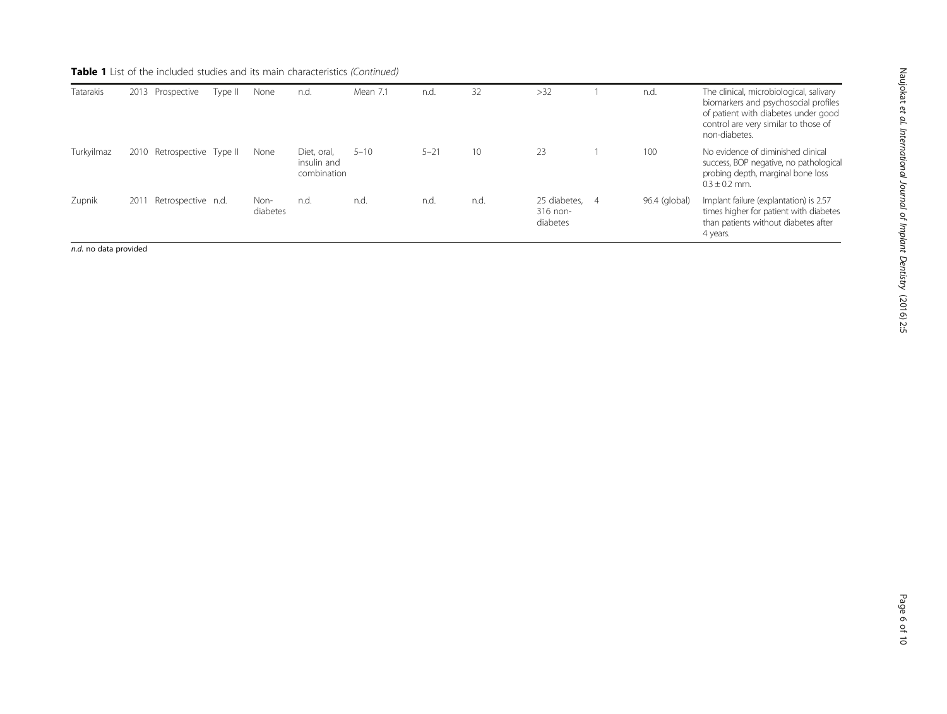|  |  |  |  | <b>Table 1</b> List of the included studies and its main characteristics (Continued) |  |
|--|--|--|--|--------------------------------------------------------------------------------------|--|
|  |  |  |  |                                                                                      |  |

| Tatarakis  |      | 2013 Prospective      | Type II | None             | n.d.                                      | Mean 7.1 | n.d.     | 32   | >32                                    | n.d.          | The clinical, microbiological, salivary<br>biomarkers and psychosocial profiles<br>of patient with diabetes under good<br>control are very similar to those of<br>non-diabetes. |
|------------|------|-----------------------|---------|------------------|-------------------------------------------|----------|----------|------|----------------------------------------|---------------|---------------------------------------------------------------------------------------------------------------------------------------------------------------------------------|
| Turkyilmaz | 2010 | Retrospective Type II |         | None             | Diet, oral,<br>insulin and<br>combination | $5 - 10$ | $5 - 21$ | 10   | 23                                     | 100           | No evidence of diminished clinical<br>success, BOP negative, no pathological<br>probing depth, marginal bone loss<br>$0.3 \pm 0.2$ mm.                                          |
| Zupnik     | 2011 | Retrospective n.d.    |         | Non-<br>diabetes | n.d.                                      | n.d.     | n.d      | n.d. | 25 diabetes, 4<br>316 non-<br>diabetes | 96.4 (global) | Implant failure (explantation) is 2.57<br>times higher for patient with diabetes<br>than patients without diabetes after<br>4 years.                                            |

n.d. no data provided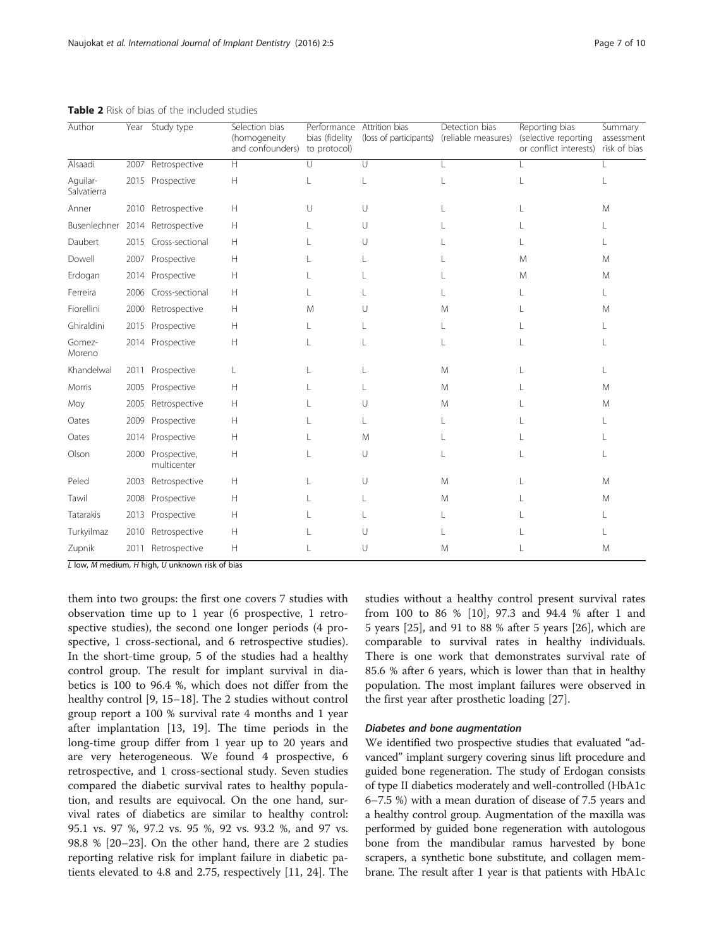| Author                  | Year | Study type                       | Selection bias<br>(homogeneity<br>and confounders) | Performance<br>bias (fidelity<br>to protocol) | Attrition bias<br>(loss of participants) | Detection bias<br>(reliable measures) | Reporting bias<br>(selective reporting<br>or conflict interests) | Summary<br>assessment<br>risk of bias |
|-------------------------|------|----------------------------------|----------------------------------------------------|-----------------------------------------------|------------------------------------------|---------------------------------------|------------------------------------------------------------------|---------------------------------------|
| Alsaadi                 | 2007 | Retrospective                    | H                                                  | U                                             | $\cup$                                   |                                       |                                                                  |                                       |
| Aquilar-<br>Salvatierra |      | 2015 Prospective                 | H                                                  |                                               |                                          |                                       |                                                                  |                                       |
| Anner                   |      | 2010 Retrospective               | Н                                                  | U                                             | U                                        |                                       |                                                                  | M                                     |
| Busenlechner            | 2014 | Retrospective                    | H                                                  |                                               | U                                        |                                       |                                                                  |                                       |
| Daubert                 | 2015 | Cross-sectional                  | H                                                  |                                               | U                                        |                                       |                                                                  |                                       |
| Dowell                  | 2007 | Prospective                      | H                                                  |                                               |                                          |                                       | M                                                                | M                                     |
| Erdogan                 | 2014 | Prospective                      | H                                                  |                                               |                                          |                                       | M                                                                | M                                     |
| Ferreira                | 2006 | Cross-sectional                  | H                                                  |                                               |                                          |                                       |                                                                  |                                       |
| Fiorellini              | 2000 | Retrospective                    | Н                                                  | M                                             | U                                        | M                                     |                                                                  | M                                     |
| Ghiraldini              | 2015 | Prospective                      | H                                                  |                                               |                                          |                                       |                                                                  |                                       |
| Gomez-<br>Moreno        | 2014 | Prospective                      | H                                                  |                                               |                                          |                                       |                                                                  |                                       |
| Khandelwal              | 2011 | Prospective                      |                                                    |                                               |                                          | M                                     |                                                                  |                                       |
| Morris                  | 2005 | Prospective                      | Н                                                  |                                               |                                          | M                                     |                                                                  | M                                     |
| Moy                     | 2005 | Retrospective                    | H                                                  |                                               | U                                        | M                                     |                                                                  | M                                     |
| Oates                   | 2009 | Prospective                      | H                                                  |                                               |                                          |                                       |                                                                  |                                       |
| Oates                   | 2014 | Prospective                      | H                                                  |                                               | M                                        |                                       |                                                                  |                                       |
| Olson                   |      | 2000 Prospective,<br>multicenter | H                                                  |                                               | U                                        |                                       |                                                                  |                                       |
| Peled                   | 2003 | Retrospective                    | H                                                  |                                               | U                                        | M                                     |                                                                  | M                                     |
| Tawil                   | 2008 | Prospective                      | H                                                  |                                               |                                          | M                                     |                                                                  | M                                     |
| Tatarakis               | 2013 | Prospective                      | H                                                  |                                               |                                          |                                       |                                                                  |                                       |
| Turkyilmaz              | 2010 | Retrospective                    | Н                                                  |                                               | U                                        |                                       |                                                                  |                                       |
| Zupnik                  | 2011 | Retrospective                    | Н                                                  |                                               | U                                        | M                                     |                                                                  | M                                     |

<span id="page-6-0"></span>Table 2 Risk of bias of the included studies

 $L$  low, M medium, H high, U unknown risk of bias

them into two groups: the first one covers 7 studies with observation time up to 1 year (6 prospective, 1 retrospective studies), the second one longer periods (4 prospective, 1 cross-sectional, and 6 retrospective studies). In the short-time group, 5 of the studies had a healthy control group. The result for implant survival in diabetics is 100 to 96.4 %, which does not differ from the healthy control [[9, 15](#page-8-0)–[18](#page-8-0)]. The 2 studies without control group report a 100 % survival rate 4 months and 1 year after implantation [\[13](#page-8-0), [19](#page-8-0)]. The time periods in the long-time group differ from 1 year up to 20 years and are very heterogeneous. We found 4 prospective, 6 retrospective, and 1 cross-sectional study. Seven studies compared the diabetic survival rates to healthy population, and results are equivocal. On the one hand, survival rates of diabetics are similar to healthy control: 95.1 vs. 97 %, 97.2 vs. 95 %, 92 vs. 93.2 %, and 97 vs. 98.8 % [\[20](#page-8-0)–[23](#page-8-0)]. On the other hand, there are 2 studies reporting relative risk for implant failure in diabetic patients elevated to 4.8 and 2.75, respectively [[11](#page-8-0), [24\]](#page-8-0). The

studies without a healthy control present survival rates from 100 to 86 % [\[10](#page-8-0)], 97.3 and 94.4 % after 1 and 5 years [[25\]](#page-9-0), and 91 to 88 % after 5 years [\[26](#page-9-0)], which are comparable to survival rates in healthy individuals. There is one work that demonstrates survival rate of 85.6 % after 6 years, which is lower than that in healthy population. The most implant failures were observed in the first year after prosthetic loading [[27](#page-9-0)].

# Diabetes and bone augmentation

We identified two prospective studies that evaluated "advanced" implant surgery covering sinus lift procedure and guided bone regeneration. The study of Erdogan consists of type II diabetics moderately and well-controlled (HbA1c 6–7.5 %) with a mean duration of disease of 7.5 years and a healthy control group. Augmentation of the maxilla was performed by guided bone regeneration with autologous bone from the mandibular ramus harvested by bone scrapers, a synthetic bone substitute, and collagen membrane. The result after 1 year is that patients with HbA1c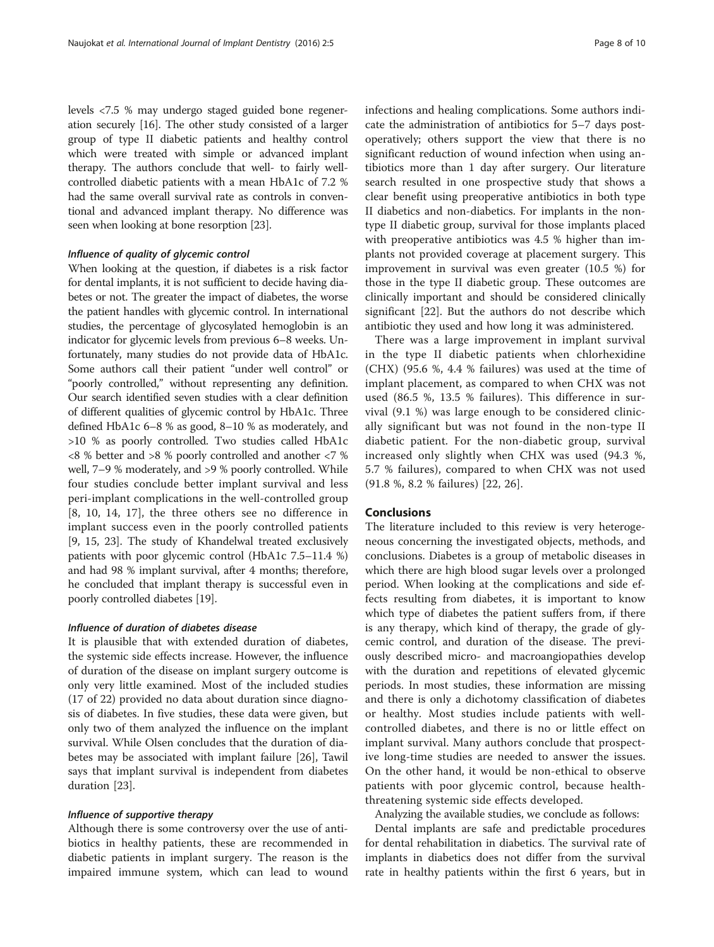levels <7.5 % may undergo staged guided bone regeneration securely [[16](#page-8-0)]. The other study consisted of a larger group of type II diabetic patients and healthy control which were treated with simple or advanced implant therapy. The authors conclude that well- to fairly wellcontrolled diabetic patients with a mean HbA1c of 7.2 % had the same overall survival rate as controls in conventional and advanced implant therapy. No difference was seen when looking at bone resorption [\[23](#page-8-0)].

# Influence of quality of glycemic control

When looking at the question, if diabetes is a risk factor for dental implants, it is not sufficient to decide having diabetes or not. The greater the impact of diabetes, the worse the patient handles with glycemic control. In international studies, the percentage of glycosylated hemoglobin is an indicator for glycemic levels from previous 6–8 weeks. Unfortunately, many studies do not provide data of HbA1c. Some authors call their patient "under well control" or "poorly controlled," without representing any definition. Our search identified seven studies with a clear definition of different qualities of glycemic control by HbA1c. Three defined HbA1c 6–8 % as good, 8–10 % as moderately, and >10 % as poorly controlled. Two studies called HbA1c <8 % better and >8 % poorly controlled and another <7 % well, 7–9 % moderately, and >9 % poorly controlled. While four studies conclude better implant survival and less peri-implant complications in the well-controlled group [[8, 10, 14](#page-8-0), [17\]](#page-8-0), the three others see no difference in implant success even in the poorly controlled patients [[9, 15, 23\]](#page-8-0). The study of Khandelwal treated exclusively patients with poor glycemic control (HbA1c 7.5–11.4 %) and had 98 % implant survival, after 4 months; therefore, he concluded that implant therapy is successful even in poorly controlled diabetes [\[19\]](#page-8-0).

## Influence of duration of diabetes disease

It is plausible that with extended duration of diabetes, the systemic side effects increase. However, the influence of duration of the disease on implant surgery outcome is only very little examined. Most of the included studies (17 of 22) provided no data about duration since diagnosis of diabetes. In five studies, these data were given, but only two of them analyzed the influence on the implant survival. While Olsen concludes that the duration of diabetes may be associated with implant failure [\[26](#page-9-0)], Tawil says that implant survival is independent from diabetes duration [[23](#page-8-0)].

# Influence of supportive therapy

Although there is some controversy over the use of antibiotics in healthy patients, these are recommended in diabetic patients in implant surgery. The reason is the impaired immune system, which can lead to wound infections and healing complications. Some authors indicate the administration of antibiotics for 5–7 days postoperatively; others support the view that there is no significant reduction of wound infection when using antibiotics more than 1 day after surgery. Our literature search resulted in one prospective study that shows a clear benefit using preoperative antibiotics in both type II diabetics and non-diabetics. For implants in the nontype II diabetic group, survival for those implants placed with preoperative antibiotics was 4.5 % higher than implants not provided coverage at placement surgery. This improvement in survival was even greater (10.5 %) for those in the type II diabetic group. These outcomes are clinically important and should be considered clinically significant [[22\]](#page-8-0). But the authors do not describe which antibiotic they used and how long it was administered.

There was a large improvement in implant survival in the type II diabetic patients when chlorhexidine (CHX) (95.6 %, 4.4 % failures) was used at the time of implant placement, as compared to when CHX was not used (86.5 %, 13.5 % failures). This difference in survival (9.1 %) was large enough to be considered clinically significant but was not found in the non-type II diabetic patient. For the non-diabetic group, survival increased only slightly when CHX was used (94.3 %, 5.7 % failures), compared to when CHX was not used (91.8 %, 8.2 % failures) [[22,](#page-8-0) [26](#page-9-0)].

# **Conclusions**

The literature included to this review is very heterogeneous concerning the investigated objects, methods, and conclusions. Diabetes is a group of metabolic diseases in which there are high blood sugar levels over a prolonged period. When looking at the complications and side effects resulting from diabetes, it is important to know which type of diabetes the patient suffers from, if there is any therapy, which kind of therapy, the grade of glycemic control, and duration of the disease. The previously described micro- and macroangiopathies develop with the duration and repetitions of elevated glycemic periods. In most studies, these information are missing and there is only a dichotomy classification of diabetes or healthy. Most studies include patients with wellcontrolled diabetes, and there is no or little effect on implant survival. Many authors conclude that prospective long-time studies are needed to answer the issues. On the other hand, it would be non-ethical to observe patients with poor glycemic control, because healththreatening systemic side effects developed.

Analyzing the available studies, we conclude as follows:

Dental implants are safe and predictable procedures for dental rehabilitation in diabetics. The survival rate of implants in diabetics does not differ from the survival rate in healthy patients within the first 6 years, but in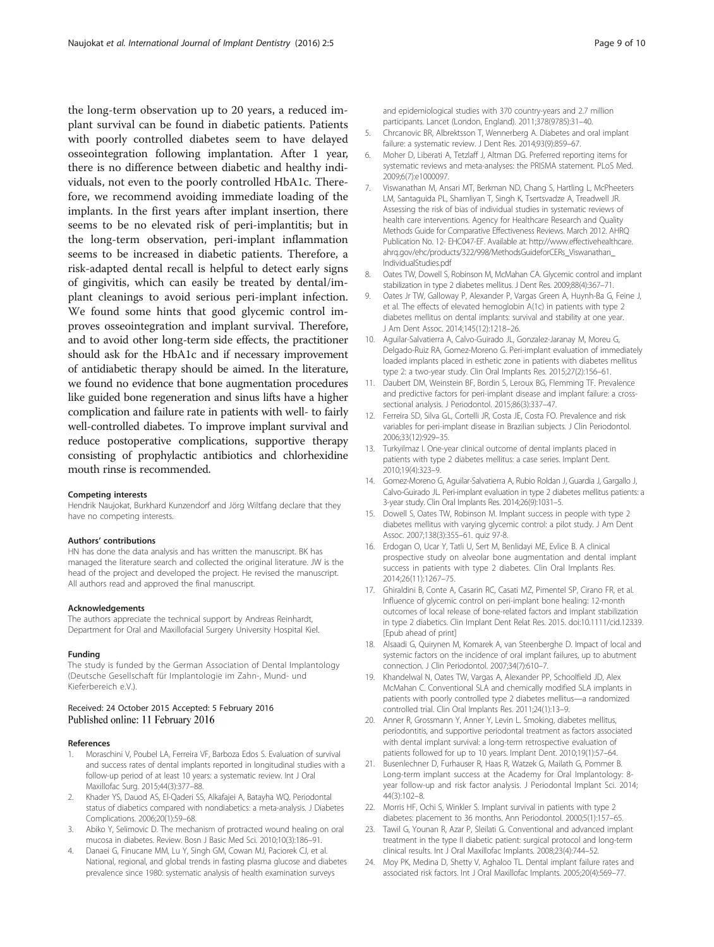<span id="page-8-0"></span>the long-term observation up to 20 years, a reduced implant survival can be found in diabetic patients. Patients with poorly controlled diabetes seem to have delayed osseointegration following implantation. After 1 year, there is no difference between diabetic and healthy individuals, not even to the poorly controlled HbA1c. Therefore, we recommend avoiding immediate loading of the implants. In the first years after implant insertion, there seems to be no elevated risk of peri-implantitis; but in the long-term observation, peri-implant inflammation seems to be increased in diabetic patients. Therefore, a risk-adapted dental recall is helpful to detect early signs of gingivitis, which can easily be treated by dental/implant cleanings to avoid serious peri-implant infection. We found some hints that good glycemic control improves osseointegration and implant survival. Therefore, and to avoid other long-term side effects, the practitioner should ask for the HbA1c and if necessary improvement of antidiabetic therapy should be aimed. In the literature, we found no evidence that bone augmentation procedures like guided bone regeneration and sinus lifts have a higher complication and failure rate in patients with well- to fairly well-controlled diabetes. To improve implant survival and reduce postoperative complications, supportive therapy consisting of prophylactic antibiotics and chlorhexidine mouth rinse is recommended.

#### Competing interests

Hendrik Naujokat, Burkhard Kunzendorf and Jörg Wiltfang declare that they have no competing interests.

#### Authors' contributions

HN has done the data analysis and has written the manuscript. BK has managed the literature search and collected the original literature. JW is the head of the project and developed the project. He revised the manuscript. All authors read and approved the final manuscript.

#### Acknowledgements

The authors appreciate the technical support by Andreas Reinhardt, Department for Oral and Maxillofacial Surgery University Hospital Kiel.

#### Funding

The study is funded by the German Association of Dental Implantology (Deutsche Gesellschaft für Implantologie im Zahn-, Mund- und Kieferbereich e.V.).

# Received: 24 October 2015 Accepted: 5 February 2016 Published online: 11 February 2016

#### References

- 1. Moraschini V, Poubel LA, Ferreira VF, Barboza Edos S. Evaluation of survival and success rates of dental implants reported in longitudinal studies with a follow-up period of at least 10 years: a systematic review. Int J Oral Maxillofac Surg. 2015;44(3):377–88.
- 2. Khader YS, Dauod AS, El-Qaderi SS, Alkafajei A, Batayha WQ. Periodontal status of diabetics compared with nondiabetics: a meta-analysis. J Diabetes Complications. 2006;20(1):59–68.
- 3. Abiko Y, Selimovic D. The mechanism of protracted wound healing on oral mucosa in diabetes. Review. Bosn J Basic Med Sci. 2010;10(3):186–91.
- Danaei G, Finucane MM, Lu Y, Singh GM, Cowan MJ, Paciorek CJ, et al. National, regional, and global trends in fasting plasma glucose and diabetes prevalence since 1980: systematic analysis of health examination surveys

and epidemiological studies with 370 country-years and 2.7 million participants. Lancet (London, England). 2011;378(9785):31–40.

- 5. Chrcanovic BR, Albrektsson T, Wennerberg A. Diabetes and oral implant failure: a systematic review. J Dent Res. 2014;93(9):859–67.
- 6. Moher D, Liberati A, Tetzlaff J, Altman DG. Preferred reporting items for systematic reviews and meta-analyses: the PRISMA statement. PLoS Med. 2009;6(7):e1000097.
- 7. Viswanathan M, Ansari MT, Berkman ND, Chang S, Hartling L, McPheeters LM, Santaguida PL, Shamliyan T, Singh K, Tsertsvadze A, Treadwell JR. Assessing the risk of bias of individual studies in systematic reviews of health care interventions. Agency for Healthcare Research and Quality Methods Guide for Comparative Effectiveness Reviews. March 2012. AHRQ Publication No. 12- EHC047-EF. Available at: [http://www.effectivehealthcare.](http://www.effectivehealthcare.ahrq.gov/ehc/products/322/998/MethodsGuideforCERs_Viswanathan_IndividualStudies.pdf) ahrg.gov/ehc/products/322/998/MethodsGuideforCERs\_Viswanathan [IndividualStudies.pdf](http://www.effectivehealthcare.ahrq.gov/ehc/products/322/998/MethodsGuideforCERs_Viswanathan_IndividualStudies.pdf)
- 8. Oates TW, Dowell S, Robinson M, McMahan CA. Glycemic control and implant stabilization in type 2 diabetes mellitus. J Dent Res. 2009;88(4):367–71.
- 9. Oates Jr TW, Galloway P, Alexander P, Vargas Green A, Huynh-Ba G, Feine J, et al. The effects of elevated hemoglobin A(1c) in patients with type 2 diabetes mellitus on dental implants: survival and stability at one year. J Am Dent Assoc. 2014;145(12):1218–26.
- 10. Aguilar-Salvatierra A, Calvo-Guirado JL, Gonzalez-Jaranay M, Moreu G, Delgado-Ruiz RA, Gomez-Moreno G. Peri-implant evaluation of immediately loaded implants placed in esthetic zone in patients with diabetes mellitus type 2: a two-year study. Clin Oral Implants Res. 2015;27(2):156–61.
- 11. Daubert DM, Weinstein BF, Bordin S, Leroux BG, Flemming TF. Prevalence and predictive factors for peri-implant disease and implant failure: a crosssectional analysis. J Periodontol. 2015;86(3):337–47.
- 12. Ferreira SD, Silva GL, Cortelli JR, Costa JE, Costa FO. Prevalence and risk variables for peri-implant disease in Brazilian subjects. J Clin Periodontol. 2006;33(12):929–35.
- 13. Turkyilmaz I. One-year clinical outcome of dental implants placed in patients with type 2 diabetes mellitus: a case series. Implant Dent. 2010;19(4):323–9.
- 14. Gomez-Moreno G, Aguilar-Salvatierra A, Rubio Roldan J, Guardia J, Gargallo J, Calvo-Guirado JL. Peri-implant evaluation in type 2 diabetes mellitus patients: a 3-year study. Clin Oral Implants Res. 2014;26(9):1031–5.
- 15. Dowell S, Oates TW, Robinson M. Implant success in people with type 2 diabetes mellitus with varying glycemic control: a pilot study. J Am Dent Assoc. 2007;138(3):355–61. quiz 97-8.
- 16. Erdogan O, Ucar Y, Tatli U, Sert M, Benlidayi ME, Evlice B. A clinical prospective study on alveolar bone augmentation and dental implant success in patients with type 2 diabetes. Clin Oral Implants Res. 2014;26(11):1267–75.
- 17. Ghiraldini B, Conte A, Casarin RC, Casati MZ, Pimentel SP, Cirano FR, et al. Influence of glycemic control on peri-implant bone healing: 12-month outcomes of local release of bone-related factors and implant stabilization in type 2 diabetics. Clin Implant Dent Relat Res. 2015. doi:[10.1111/cid.12339.](http://dx.doi.org/10.1111/cid.12339) [Epub ahead of print]
- 18. Alsaadi G, Quirynen M, Komarek A, van Steenberghe D. Impact of local and systemic factors on the incidence of oral implant failures, up to abutment connection. J Clin Periodontol. 2007;34(7):610–7.
- 19. Khandelwal N, Oates TW, Vargas A, Alexander PP, Schoolfield JD, Alex McMahan C. Conventional SLA and chemically modified SLA implants in patients with poorly controlled type 2 diabetes mellitus—a randomized controlled trial. Clin Oral Implants Res. 2011;24(1):13–9.
- 20. Anner R, Grossmann Y, Anner Y, Levin L. Smoking, diabetes mellitus, periodontitis, and supportive periodontal treatment as factors associated with dental implant survival: a long-term retrospective evaluation of patients followed for up to 10 years. Implant Dent. 2010;19(1):57–64.
- 21. Busenlechner D, Furhauser R, Haas R, Watzek G, Mailath G, Pommer B. Long-term implant success at the Academy for Oral Implantology: 8 year follow-up and risk factor analysis. J Periodontal Implant Sci. 2014; 44(3):102–8.
- 22. Morris HF, Ochi S, Winkler S. Implant survival in patients with type 2 diabetes: placement to 36 months. Ann Periodontol. 2000;5(1):157–65.
- 23. Tawil G, Younan R, Azar P, Sleilati G. Conventional and advanced implant treatment in the type II diabetic patient: surgical protocol and long-term clinical results. Int J Oral Maxillofac Implants. 2008;23(4):744–52.
- 24. Moy PK, Medina D, Shetty V, Aghaloo TL. Dental implant failure rates and associated risk factors. Int J Oral Maxillofac Implants. 2005;20(4):569–77.